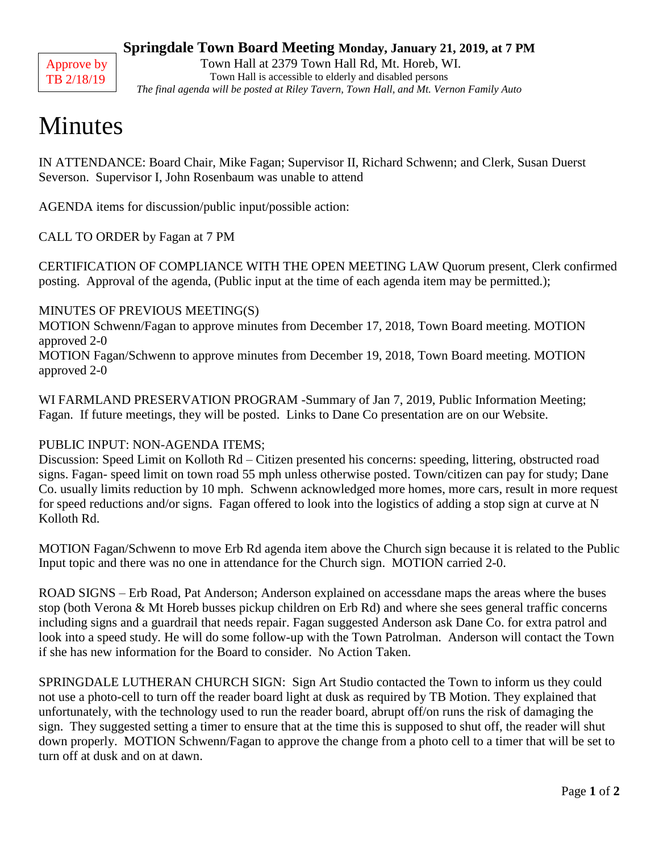

#### **Springdale Town Board Meeting Monday, January 21, 2019, at 7 PM**

Town Hall at 2379 Town Hall Rd, Mt. Horeb, WI. Town Hall is accessible to elderly and disabled persons *The final agenda will be posted at Riley Tavern, Town Hall, and Mt. Vernon Family Auto*

# Minutes

IN ATTENDANCE: Board Chair, Mike Fagan; Supervisor II, Richard Schwenn; and Clerk, Susan Duerst Severson. Supervisor I, John Rosenbaum was unable to attend

AGENDA items for discussion/public input/possible action:

CALL TO ORDER by Fagan at 7 PM

CERTIFICATION OF COMPLIANCE WITH THE OPEN MEETING LAW Quorum present, Clerk confirmed posting. Approval of the agenda, (Public input at the time of each agenda item may be permitted.);

#### MINUTES OF PREVIOUS MEETING(S)

MOTION Schwenn/Fagan to approve minutes from December 17, 2018, Town Board meeting. MOTION approved 2-0

MOTION Fagan/Schwenn to approve minutes from December 19, 2018, Town Board meeting. MOTION approved 2-0

WI FARMLAND PRESERVATION PROGRAM -Summary of Jan 7, 2019, Public Information Meeting; Fagan. If future meetings, they will be posted. Links to Dane Co presentation are on our Website.

### PUBLIC INPUT: NON-AGENDA ITEMS;

Discussion: Speed Limit on Kolloth Rd – Citizen presented his concerns: speeding, littering, obstructed road signs. Fagan- speed limit on town road 55 mph unless otherwise posted. Town/citizen can pay for study; Dane Co. usually limits reduction by 10 mph. Schwenn acknowledged more homes, more cars, result in more request for speed reductions and/or signs. Fagan offered to look into the logistics of adding a stop sign at curve at N Kolloth Rd.

MOTION Fagan/Schwenn to move Erb Rd agenda item above the Church sign because it is related to the Public Input topic and there was no one in attendance for the Church sign. MOTION carried 2-0.

ROAD SIGNS – Erb Road, Pat Anderson; Anderson explained on accessdane maps the areas where the buses stop (both Verona & Mt Horeb busses pickup children on Erb Rd) and where she sees general traffic concerns including signs and a guardrail that needs repair. Fagan suggested Anderson ask Dane Co. for extra patrol and look into a speed study. He will do some follow-up with the Town Patrolman. Anderson will contact the Town if she has new information for the Board to consider. No Action Taken.

SPRINGDALE LUTHERAN CHURCH SIGN: Sign Art Studio contacted the Town to inform us they could not use a photo-cell to turn off the reader board light at dusk as required by TB Motion. They explained that unfortunately, with the technology used to run the reader board, abrupt off/on runs the risk of damaging the sign. They suggested setting a timer to ensure that at the time this is supposed to shut off, the reader will shut down properly. MOTION Schwenn/Fagan to approve the change from a photo cell to a timer that will be set to turn off at dusk and on at dawn.